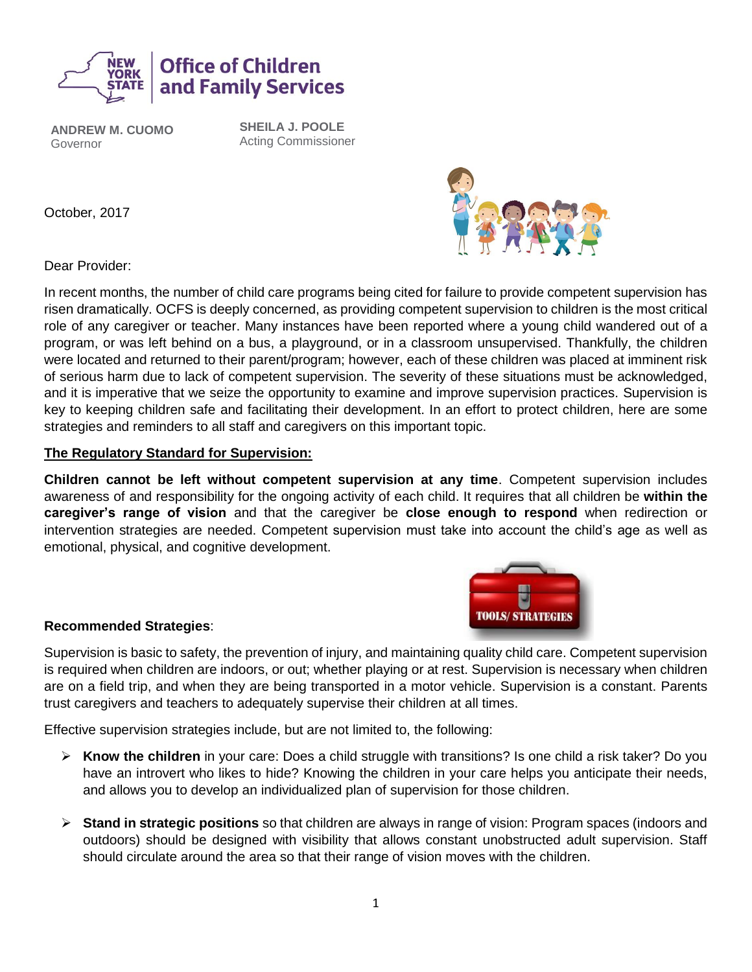

**ANDREW M. CUOMO** Governor

**SHEILA J. POOLE** Acting Commissioner

October, 2017



Dear Provider:

In recent months, the number of child care programs being cited for failure to provide competent supervision has risen dramatically. OCFS is deeply concerned, as providing competent supervision to children is the most critical role of any caregiver or teacher. Many instances have been reported where a young child wandered out of a program, or was left behind on a bus, a playground, or in a classroom unsupervised. Thankfully, the children were located and returned to their parent/program; however, each of these children was placed at imminent risk of serious harm due to lack of competent supervision. The severity of these situations must be acknowledged, and it is imperative that we seize the opportunity to examine and improve supervision practices. Supervision is key to keeping children safe and facilitating their development. In an effort to protect children, here are some strategies and reminders to all staff and caregivers on this important topic.

## **The Regulatory Standard for Supervision:**

**Children cannot be left without competent supervision at any time**. Competent supervision includes awareness of and responsibility for the ongoing activity of each child. It requires that all children be **within the caregiver's range of vision** and that the caregiver be **close enough to respond** when redirection or intervention strategies are needed. Competent supervision must take into account the child's age as well as emotional, physical, and cognitive development.



## **Recommended Strategies**:

Supervision is basic to safety, the prevention of injury, and maintaining quality child care. Competent supervision is required when children are indoors, or out; whether playing or at rest. Supervision is necessary when children are on a field trip, and when they are being transported in a motor vehicle. Supervision is a constant. Parents trust caregivers and teachers to adequately supervise their children at all times.

Effective supervision strategies include, but are not limited to, the following:

- ➢ **Know the children** in your care: Does a child struggle with transitions? Is one child a risk taker? Do you have an introvert who likes to hide? Knowing the children in your care helps you anticipate their needs, and allows you to develop an individualized plan of supervision for those children.
- ➢ **Stand in strategic positions** so that children are always in range of vision: Program spaces (indoors and outdoors) should be designed with visibility that allows constant unobstructed adult supervision. Staff should circulate around the area so that their range of vision moves with the children.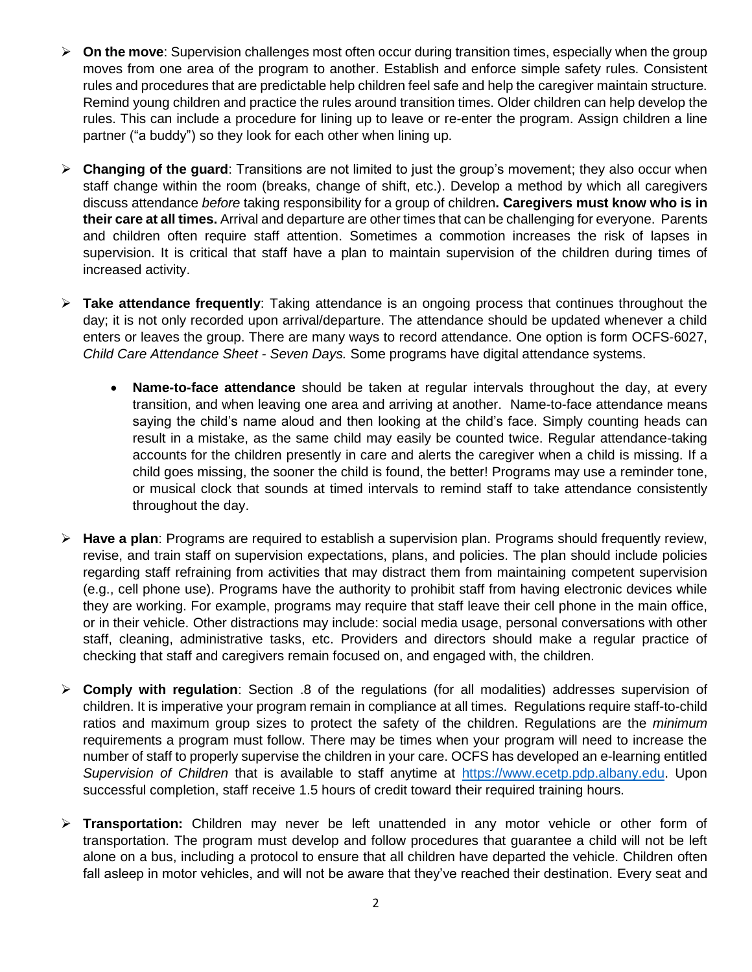- ➢ **On the move**: Supervision challenges most often occur during transition times, especially when the group moves from one area of the program to another. Establish and enforce simple safety rules. Consistent rules and procedures that are predictable help children feel safe and help the caregiver maintain structure. Remind young children and practice the rules around transition times. Older children can help develop the rules. This can include a procedure for lining up to leave or re-enter the program. Assign children a line partner ("a buddy") so they look for each other when lining up.
- ➢ **Changing of the guard**: Transitions are not limited to just the group's movement; they also occur when staff change within the room (breaks, change of shift, etc.). Develop a method by which all caregivers discuss attendance *before* taking responsibility for a group of children**. Caregivers must know who is in their care at all times.** Arrival and departure are other times that can be challenging for everyone. Parents and children often require staff attention. Sometimes a commotion increases the risk of lapses in supervision. It is critical that staff have a plan to maintain supervision of the children during times of increased activity.
- ➢ **Take attendance frequently**: Taking attendance is an ongoing process that continues throughout the day; it is not only recorded upon arrival/departure. The attendance should be updated whenever a child enters or leaves the group. There are many ways to record attendance. One option is form OCFS-6027, *Child Care Attendance Sheet - Seven Days.* Some programs have digital attendance systems.
	- **Name-to-face attendance** should be taken at regular intervals throughout the day, at every transition, and when leaving one area and arriving at another. Name-to-face attendance means saying the child's name aloud and then looking at the child's face. Simply counting heads can result in a mistake, as the same child may easily be counted twice. Regular attendance-taking accounts for the children presently in care and alerts the caregiver when a child is missing. If a child goes missing, the sooner the child is found, the better! Programs may use a reminder tone, or musical clock that sounds at timed intervals to remind staff to take attendance consistently throughout the day.
- ➢ **Have a plan**: Programs are required to establish a supervision plan. Programs should frequently review, revise, and train staff on supervision expectations, plans, and policies. The plan should include policies regarding staff refraining from activities that may distract them from maintaining competent supervision (e.g., cell phone use). Programs have the authority to prohibit staff from having electronic devices while they are working. For example, programs may require that staff leave their cell phone in the main office, or in their vehicle. Other distractions may include: social media usage, personal conversations with other staff, cleaning, administrative tasks, etc. Providers and directors should make a regular practice of checking that staff and caregivers remain focused on, and engaged with, the children.
- ➢ **Comply with regulation**: Section .8 of the regulations (for all modalities) addresses supervision of children. It is imperative your program remain in compliance at all times. Regulations require staff-to-child ratios and maximum group sizes to protect the safety of the children. Regulations are the *minimum* requirements a program must follow. There may be times when your program will need to increase the number of staff to properly supervise the children in your care. OCFS has developed an e-learning entitled *Supervision of Children* that is available to staff anytime at [https://www.ecetp.pdp.albany.edu.](https://www.ecetp.pdp.albany.edu/) Upon successful completion, staff receive 1.5 hours of credit toward their required training hours.
- ➢ **Transportation:** Children may never be left unattended in any motor vehicle or other form of transportation. The program must develop and follow procedures that guarantee a child will not be left alone on a bus, including a protocol to ensure that all children have departed the vehicle. Children often fall asleep in motor vehicles, and will not be aware that they've reached their destination. Every seat and